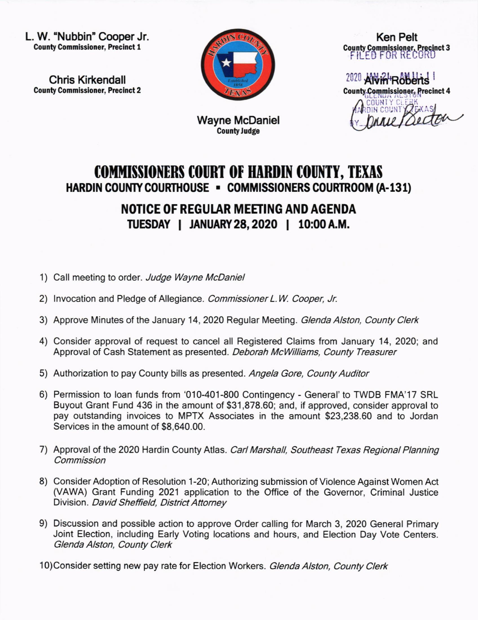L. W. 'Nubbin'Cooper Jr. County Commissioner, Precinct 1

Chris Kirkendall County Commissioner, Precinct 2



Ken Pelt County Commissioner, Precinct 3 FILED FOR RECORD

 $2020$  Alvin<sup>+</sup>Roberts County Commissioner, Precinct 4

 $\overline{h}$ 

## Wayne McDaniel **County Judge**

## COMMISSIONERS COURT OF HARDIN COUNTY, TEXAS HARDIN COUNTY COURTHOUSE . COMMISSIONERS COURTROOM (A-131)

NOTICE OF REGULAR MEETING AND AGENDA TUESDAY | JANUARY 28, 2020 | 10:00 A.M.

- 1) Call meeting to order. Judge Wayne McDaniel
- 2) Invocation and Pledge of Allegiance. Commissioner L.W. Cooper, Jr.
- 3) Approve Minutes of the January 14, 2020 Regular Meeting. Glenda Alston, County Clerk
- 4) Consider approval of request to cancel all Registered Claims from January 14, 2020; and Approval of Cash Statement as presented. Deborah McWilliams, County Treasurer
- 5) Authorization to pay County bills as presented. Angela Gore, County Auditor
- 6) Permission to loan funds from '010-401-800 Contingency General'to TWDB FMA'17 SRL Buyout Grant Fund 436 in the amount of \$31,878.60; and, if approved, consider approval to pay outstanding invoices to MPTX Associates in the amount \$23,238.60 and to Jordan Services in the amount of \$8,640.00.
- 7) Approval of the 2020 Hardin County Atlas. Carl Marshall, Southeast Texas Regional Planning **Commission**
- 8) Consider Adoption of Resolution 1-20; Authorizing submission of Violence Against Women Act (VAWA) Grant Funding 2021 application to the Office of the Governor, Criminal Justice Division. David Sheffield, District Attomey
- 9) Discussion and possible action to approve Order calling for March 3, 2020 General Primary Joint Election, including Early Voting locations and hours, and Election Day Vote Centers. Glenda Alston, County Clerk
- 10)Consider setting new pay rate for Election Workers. Glenda Alston, County Clerk